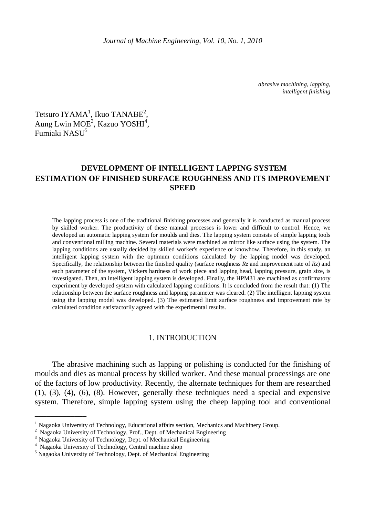*abrasive machining, lapping, intelligent finishing* 

Tetsuro IYAMA<sup>1</sup>, Ikuo TANABE<sup>2</sup>, Aung Lwin MOE<sup>3</sup>, Kazuo YOSHI<sup>4</sup>, Fumiaki NASU<sup>5</sup>

# **DEVELOPMENT OF INTELLIGENT LAPPING SYSTEM ESTIMATION OF FINISHED SURFACE ROUGHNESS AND ITS IMPROVEMENT SPEED**

The lapping process is one of the traditional finishing processes and generally it is conducted as manual process by skilled worker. The productivity of these manual processes is lower and difficult to control. Hence, we developed an automatic lapping system for moulds and dies. The lapping system consists of simple lapping tools and conventional milling machine. Several materials were machined as mirror like surface using the system. The lapping conditions are usually decided by skilled worker's experience or knowhow. Therefore, in this study, an intelligent lapping system with the optimum conditions calculated by the lapping model was developed. Specifically, the relationship between the finished quality (surface roughness *Rz* and improvement rate of *Rz*) and each parameter of the system, Vickers hardness of work piece and lapping head, lapping pressure, grain size, is investigated. Then, an intelligent lapping system is developed. Finally, the HPM31 are machined as confirmatory experiment by developed system with calculated lapping conditions. It is concluded from the result that: (1) The relationship between the surface roughness and lapping parameter was cleared. (2) The intelligent lapping system using the lapping model was developed. (3) The estimated limit surface roughness and improvement rate by calculated condition satisfactorily agreed with the experimental results.

#### 1. INTRODUCTION

The abrasive machining such as lapping or polishing is conducted for the finishing of moulds and dies as manual process by skilled worker. And these manual processings are one of the factors of low productivity. Recently, the alternate techniques for them are researched (1), (3), (4), (6), (8). However, generally these techniques need a special and expensive system. Therefore, simple lapping system using the cheep lapping tool and conventional

\_\_\_\_\_\_\_\_\_\_\_\_\_

<sup>&</sup>lt;sup>1</sup> Nagaoka University of Technology, Educational affairs section, Mechanics and Machinery Group.

<sup>&</sup>lt;sup>2</sup> Nagaoka University of Technology, Prof., Dept. of Mechanical Engineering

<sup>&</sup>lt;sup>3</sup> Nagaoka University of Technology, Dept. of Mechanical Engineering

<sup>4</sup> Nagaoka University of Technology, Central machine shop

<sup>&</sup>lt;sup>5</sup> Nagaoka University of Technology, Dept. of Mechanical Engineering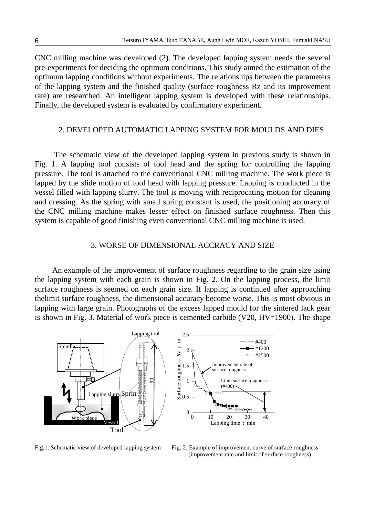CNC milling machine was developed (2). The developed lapping system needs the several pre-experiments for deciding the optimum conditions. This study aimed the estimation of the optimum lapping conditions without experiments. The relationships between the parameters of the lapping system and the finished quality (surface roughness Rz and its improvement rate) are researched. An intelligent lapping system is developed with these relationships. Finally, the developed system is evaluated by confirmatory experiment.

## 2. DEVELOPED AUTOMATIC LAPPING SYSTEM FOR MOULDS AND DIES

 The schematic view of the developed lapping system in previous study is shown in Fig. 1. A lapping tool consists of tool head and the spring for controlling the lapping pressure. The tool is attached to the conventional CNC milling machine. The work piece is lapped by the slide motion of tool head with lapping pressure. Lapping is conducted in the vessel filled with lapping slurry. The tool is moving with reciprocating motion for cleaning and dressing. As the spring with small spring constant is used, the positioning accuracy of the CNC milling machine makes lesser effect on finished surface roughness. Then this system is capable of good finishing even conventional CNC milling machine is used.

# 3. WORSE OF DIMENSIONAL ACCRACY AND SIZE

An example of the improvement of surface roughness regarding to the grain size using the lapping system with each grain is shown in Fig. 2. On the lapping process, the limit surface roughness is seemed on each grain size. If lapping is continued after approaching thelimit surface roughness, the dimensional accuracy become worse. This is most obvious in lapping with large grain. Photographs of the excess lapped mould for the sintered lack gear is shown in Fig. 3. Material of work piece is cemented carbide (V20, HV=1900). The shape



Fig.1. Schematic view of developed lapping system Fig. 2. Example of improvement curve of surface roughness (improvement rate and limit of surface roughness)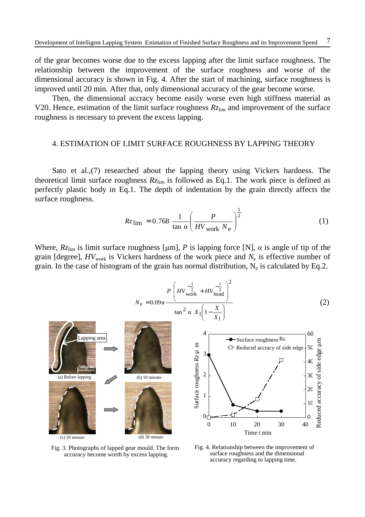of the gear becomes worse due to the excess lapping after the limit surface roughness. The relationship between the improvement of the surface roughness and worse of the dimensional accuracy is shown in Fig. 4. After the start of machining, surface roughness is improved until 20 min. After that, only dimensional accuracy of the gear become worse.

Then, the dimensional accracy become easily worse even high stiffness material as V20. Hence, estimation of the limit surface roughness  $Rz_{\text{lim}}$  and improvement of the surface roughness is necessary to prevent the excess lapping.

#### 4. ESTIMATION OF LIMIT SURFACE ROUGHNESS BY LAPPING THEORY

Sato et al.,(7) researched about the lapping theory using Vickers hardness. The theoretical limit surface roughness  $R_{\text{Zlim}}$  is followed as Eq.1. The work piece is defined as perfectly plastic body in Eq.1. The depth of indentation by the grain directly affects the surface roughness.

$$
Rz_{\rm lim} = 0.768 \frac{1}{\tan \alpha} \left( \frac{P}{H V_{\rm work} N_{\rm e}} \right)^{\frac{1}{2}}
$$
(1)

Where,  $Rz_{lim}$  is limit surface roughness [µm], *P* is lapping force [N],  $\alpha$  is angle of tip of the grain [degree],  $HV_{work}$  is Vickers hardness of the work piece and  $N_e$  is effective number of grain. In the case of histogram of the grain has normal distribution,  $N_e$  is calculated by Eq.2.

$$
N_{\rm e} = 0.09\pi \frac{P\left(HV_{\rm work}^{-\frac{1}{2}} + HV_{\rm head}^{-\frac{1}{2}}\right)^2}{\tan^2 \alpha \ X_1 \left(1 - \frac{X}{X_1}\right)}
$$
(2)





Fig. 3. Photographs of lapped gear mould. The form accuracy become worth by excess lapping.

Fig. 4. Relationship between the improvement of surface roughness and the dimensional accuracy regarding to lapping time.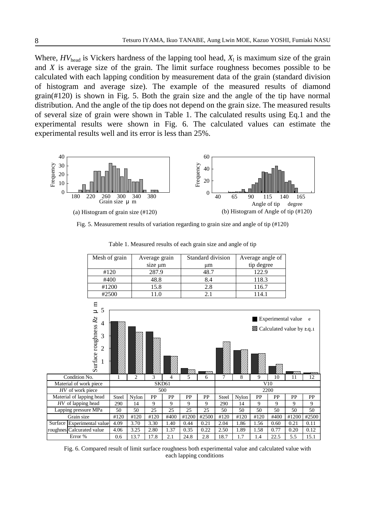Where,  $HV_{head}$  is Vickers hardness of the lapping tool head,  $X_1$  is maximum size of the grain and *X* is average size of the grain. The limit surface roughness becomes possible to be calculated with each lapping condition by measurement data of the grain (standard division of histogram and average size). The example of the measured results of diamond grain(#120) is shown in Fig. 5. Both the grain size and the angle of the tip have normal distribution. And the angle of the tip does not depend on the grain size. The measured results of several size of grain were shown in Table 1. The calculated results using Eq.1 and the experimental results were shown in Fig. 6. The calculated values can estimate the experimental results well and its error is less than 25%.



Fig. 5. Measurement results of variation regarding to grain size and angle of tip (#120)

|                                                 | Mesh of grain  |       |                | Average grain |      |       | Standard division |                | Average angle of |      |      |                                   |       |
|-------------------------------------------------|----------------|-------|----------------|---------------|------|-------|-------------------|----------------|------------------|------|------|-----------------------------------|-------|
|                                                 |                |       |                | size µm       |      |       | μm                |                | tip degree       |      |      |                                   |       |
|                                                 | #120           |       |                | 287.9         |      |       | 48.7              |                | 122.9            |      |      |                                   |       |
|                                                 | #400           |       |                | 48.8          |      |       | 8.4               |                | 118.3            |      |      |                                   |       |
|                                                 | #1200          |       |                | 15.8          |      |       | 2.8               |                | 116.7            |      |      |                                   |       |
|                                                 | #2500          |       |                | 11.0          |      | 2.1   |                   |                | 114.1            |      |      |                                   |       |
|                                                 |                |       |                |               |      |       |                   |                |                  |      |      |                                   |       |
| $\Xi$<br>$\overline{\mathbf{r}}$                | 5              |       |                |               |      |       |                   |                |                  |      |      |                                   |       |
|                                                 |                |       |                |               |      |       |                   |                |                  |      |      |                                   |       |
| Surface roughness Rz<br>Experimental value<br>4 |                |       |                |               |      |       |                   |                | e                |      |      |                                   |       |
|                                                 |                |       |                |               |      |       |                   |                |                  |      |      | <b>Z</b> Calculated value by Eq.1 |       |
|                                                 | 3              |       |                |               |      |       |                   |                |                  |      |      |                                   |       |
|                                                 |                |       |                |               |      |       |                   |                |                  |      |      |                                   |       |
|                                                 | $\overline{2}$ |       |                |               |      |       |                   |                |                  |      |      |                                   |       |
|                                                 |                |       |                |               |      |       |                   |                |                  |      |      |                                   |       |
|                                                 |                |       |                |               |      |       |                   |                |                  |      |      |                                   |       |
|                                                 |                |       |                |               |      | 77)   |                   |                |                  |      |      |                                   |       |
| Condition No.                                   |                |       | $\overline{c}$ | 3             | 4    | 5     | 6                 | $\overline{7}$ | 8                | 9    | 10   | 11                                | 12    |
| Material of work piece                          |                |       | SKD61          |               |      |       |                   |                |                  | V10  |      |                                   |       |
| HV of work piece                                |                |       |                |               | 500  |       |                   |                |                  | 2200 |      |                                   |       |
| Material of lapping head                        |                | Steel | Nylon          | PP            | PP   | PP    | PP                | Steel          | Nylon            | PP   | PP   | PP                                | PP    |
| HV of lapping head                              |                | 290   | 14             | 9             | 9    | 9     | 9                 | 290            | 14               | 9    | 9    | 9                                 | 9     |
| Lapping pressure MPa                            |                | 50    | 50             | 25            | 25   | 25    | 25                | 50             | 50               | 50   | 50   | 50                                | 50    |
| Grain size                                      |                | #120  | #120           | #120          | #400 | #1200 | #2500             | #120           | #120             | #120 | #400 | #1200                             | #2500 |
| Surface Experimental value                      |                | 4.09  | 3.70           | 3.30          | 1.40 | 0.44  | 0.21              | 2.04           | 1.86             | 1.56 | 0.60 | 0.21                              | 0.11  |
| roughnes Calcurated value                       |                | 4.06  | 3.25           | 2.80          | 1.37 | 0.35  | 0.22              | 2.50           | 1.89             | 1.58 | 0.77 | 0.20                              | 0.12  |
| Error %                                         |                | 0.6   | 13.7           | 17.8          | 2.1  | 24.8  | 2.8               | 18.7           | 1.7              | 1.4  | 22.5 | 5.5                               | 15.1  |
|                                                 |                |       |                |               |      |       |                   |                |                  |      |      |                                   |       |

Table 1. Measured results of each grain size and angle of tip

Fig. 6. Compared result of limit surface roughness both experimental value and calculated value with each lapping conditions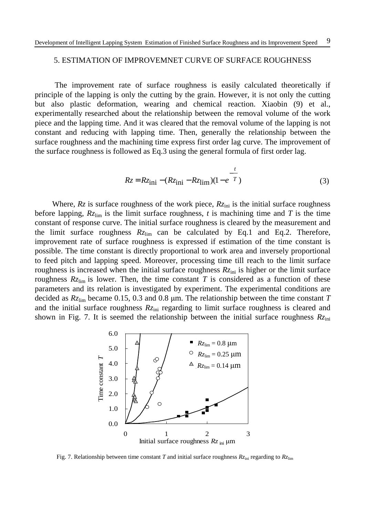### 5. ESTIMATION OF IMPROVEMNET CURVE OF SURFACE ROUGHNESS

The improvement rate of surface roughness is easily calculated theoretically if principle of the lapping is only the cutting by the grain. However, it is not only the cutting but also plastic deformation, wearing and chemical reaction. Xiaobin (9) et al., experimentally researched about the relationship between the removal volume of the work piece and the lapping time. And it was cleared that the removal volume of the lapping is not constant and reducing with lapping time. Then, generally the relationship between the surface roughness and the machining time express first order lag curve. The improvement of the surface roughness is followed as Eq.3 using the general formula of first order lag.

$$
Rz = Rz_{\text{ini}} - (Rz_{\text{ini}} - Rz_{\text{lim}})(1 - e^{-\frac{t}{T}})
$$
 (3)

Where,  $R_z$  is surface roughness of the work piece,  $R_{\zeta_{\text{ini}}}$  is the initial surface roughness before lapping,  $Rz_{\text{lim}}$  is the limit surface roughness, *t* is machining time and *T* is the time constant of response curve. The initial surface roughness is cleared by the measurement and the limit surface roughness  $Rz_{\text{lim}}$  can be calculated by Eq.1 and Eq.2. Therefore, improvement rate of surface roughness is expressed if estimation of the time constant is possible. The time constant is directly proportional to work area and inversely proportional to feed pitch and lapping speed. Moreover, processing time till reach to the limit surface roughness is increased when the initial surface roughness  $Rz<sub>ini</sub>$  is higher or the limit surface roughness  $Rz_{\text{lim}}$  is lower. Then, the time constant *T* is considered as a function of these parameters and its relation is investigated by experiment. The experimental conditions are decided as *Rz*lim became 0.15, 0.3 and 0.8 µm. The relationship between the time constant *T*  and the initial surface roughness  $Rz<sub>ini</sub>$  regarding to limit surface roughness is cleared and shown in Fig. 7. It is seemed the relationship between the initial surface roughness *Rz*ini



Fig. 7. Relationship between time constant *T* and initial surface roughness  $Rz<sub>ini</sub>$  regarding to  $Rz<sub>lim</sub>$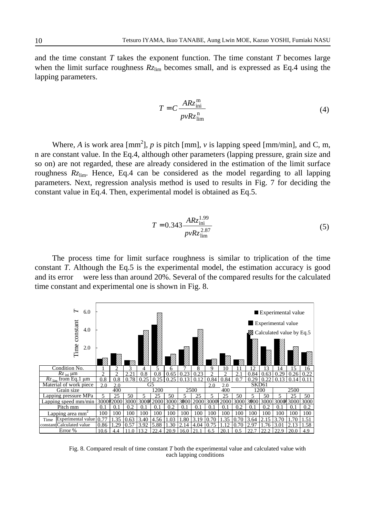and the time constant *T* takes the exponent function. The time constant *T* becomes large when the limit surface roughness  $Rz_{\text{lim}}$  becomes small, and is expressed as Eq.4 using the lapping parameters.

$$
T = C \frac{ARz_{\text{ini}}^{\text{m}}}{p\nu Rz_{\text{lim}}^{\text{n}}}
$$
 (4)

Where, *A* is work area [mm<sup>2</sup>], *p* is pitch [mm], *v* is lapping speed [mm/min], and C, m, n are constant value. In the Eq.4, although other parameters (lapping pressure, grain size and so on) are not regarded, these are already considered in the estimation of the limit surface roughness  $Rz_{\text{lim}}$ . Hence, Eq.4 can be considered as the model regarding to all lapping parameters. Next, regression analysis method is used to results in Fig. 7 for deciding the constant value in Eq.4. Then, experimental model is obtained as Eq.5.

$$
T = 0.343 \frac{ARz_{\text{ini}}^{1.99}}{pvRz_{\text{lim}}^{2.87}}
$$
 (5)

The process time for limit surface roughness is similar to triplication of the time constant *T*. Although the Eq.5 is the experimental model, the estimation accuracy is good and its error were less than around 20%. Several of the compared results for the calculated time constant and experimental one is shown in Fig. 8.



Fig. 8. Compared result of time constant *T* both the experimental value and calculated value with each lapping conditions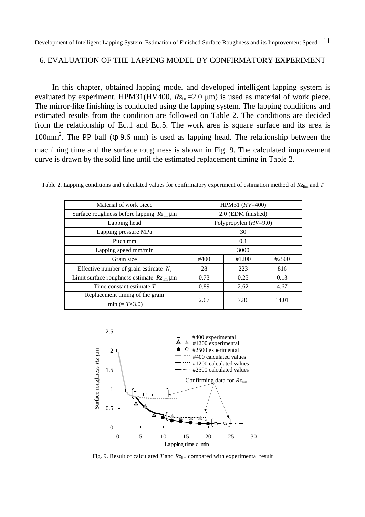# 6. EVALUATION OF THE LAPPING MODEL BY CONFIRMATORY EXPERIMENT

In this chapter, obtained lapping model and developed intelligent lapping system is evaluated by experiment. HPM31(HV400,  $Rz_{\text{ini}}$ =2.0  $\mu$ m) is used as material of work piece. The mirror-like finishing is conducted using the lapping system. The lapping conditions and estimated results from the condition are followed on Table 2. The conditions are decided from the relationship of Eq.1 and Eq.5. The work area is square surface and its area is 100mm<sup>2</sup>. The PP ball (φ 9.6 mm) is used as lapping head. The relationship between the machining time and the surface roughness is shown in Fig. 9. The calculated improvement curve is drawn by the solid line until the estimated replacement timing in Table 2.

| Material of work piece                                    | HPM31 $(HV=400)$        |       |       |  |  |  |
|-----------------------------------------------------------|-------------------------|-------|-------|--|--|--|
| Surface roughness before lapping $Rz_{\text{ini}}$ µm     | 2.0 (EDM finished)      |       |       |  |  |  |
| Lapping head                                              | Polypropylen $(HV=9.0)$ |       |       |  |  |  |
| Lapping pressure MPa                                      | 30                      |       |       |  |  |  |
| Pitch mm                                                  | 0.1                     |       |       |  |  |  |
| Lapping speed mm/min                                      | 3000                    |       |       |  |  |  |
| Grain size                                                | #400                    | #1200 | #2500 |  |  |  |
| Effective number of grain estimate $N_e$                  | 28                      | 223   | 816   |  |  |  |
| Limit surface roughness estimate $Rz_{\text{lim}}$ µm     | 0.73                    | 0.25  | 0.13  |  |  |  |
| Time constant estimate $T$                                | 0.89                    | 2.62  | 4.67  |  |  |  |
| Replacement timing of the grain<br>$min (= T \times 3.0)$ | 2.67                    | 7.86  | 14.01 |  |  |  |

Table 2. Lapping conditions and calculated values for confirmatory experiment of estimation method of  $Rz_{lim}$  and *T* 



Fig. 9. Result of calculated *T* and  $Rz_{lim}$  compared with experimental result